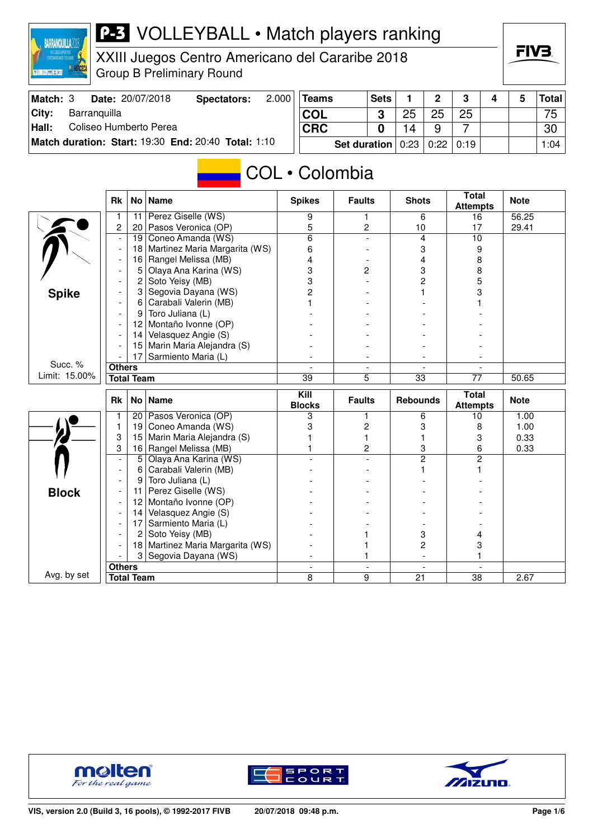

### **P-3** VOLLEYBALL • Match players ranking

XXIII Juegos Centro Americano del Cararibe 2018 Group B Preliminary Round

| Match: 3 | Date: 20/07/2018                                    | Spectators: | 2.000 | <b>Teams</b>                                        | <b>Sets</b> |    | ົ  |  | <b>Total</b> |
|----------|-----------------------------------------------------|-------------|-------|-----------------------------------------------------|-------------|----|----|--|--------------|
| City:    | Barranguilla                                        |             |       | <b>COL</b>                                          |             | 25 | 25 |  | 75           |
| Hall:    | Coliseo Humberto Perea                              |             |       | <b>CRC</b>                                          |             |    |    |  | 30           |
|          | Match duration: Start: 19:30 End: 20:40 Total: 1:10 |             |       | <b>Set duration</b> $0:23 \mid 0:22 \mid 0:19 \mid$ |             |    |    |  | 1:04         |

# COL · Colombia

|               | <b>Rk</b>              |    | No   Name                     | <b>Spikes</b>  | <b>Faults</b>            | <b>Shots</b>                    | <b>Total</b><br><b>Attempts</b> | <b>Note</b> |
|---------------|------------------------|----|-------------------------------|----------------|--------------------------|---------------------------------|---------------------------------|-------------|
|               | -1                     | 11 | Perez Giselle (WS)            | 9              | 1                        | 6                               | 16                              | 56.25       |
|               | $\overline{c}$         | 20 | Pasos Veronica (OP)           | 5              | 2                        | 10                              | 17                              | 29.41       |
|               |                        | 19 | Coneo Amanda (WS)             | $\overline{6}$ |                          | 4                               | 10                              |             |
|               |                        | 18 | Martinez Maria Margarita (WS) | 6              |                          | 3                               | 9                               |             |
|               |                        | 16 | Rangel Melissa (MB)           | 4              |                          | 4                               | 8                               |             |
|               |                        | 5  | Olaya Ana Karina (WS)         | 3              | $\overline{c}$           | 3                               | 8                               |             |
|               |                        | 2  | Soto Yeisy (MB)               | 3              |                          | 2                               | 5                               |             |
| <b>Spike</b>  |                        | 3  | Segovia Dayana (WS)           | $\overline{2}$ |                          |                                 | 3                               |             |
|               |                        | 6  | Carabali Valerin (MB)         |                |                          |                                 |                                 |             |
|               |                        | 9  | Toro Juliana (L)              |                |                          |                                 |                                 |             |
|               |                        | 12 | Montaño Ivonne (OP)           |                |                          |                                 |                                 |             |
|               |                        | 14 | Velasquez Angie (S)           |                |                          |                                 |                                 |             |
|               |                        | 15 | Marin Maria Alejandra (S)     |                |                          |                                 |                                 |             |
|               |                        | 17 | Sarmiento Maria (L)           |                |                          |                                 |                                 |             |
| Succ. %       | <b>Others</b>          |    |                               |                |                          |                                 |                                 |             |
| Limit: 15.00% | <b>Total Team</b>      |    |                               | 39             | 5                        | 33                              | 77                              | 50.65       |
|               | <b>Rk</b><br>No   Name |    | Kill<br><b>Blocks</b>         | <b>Faults</b>  | <b>Rebounds</b>          | <b>Total</b><br><b>Attempts</b> | <b>Note</b>                     |             |
|               |                        | 20 | Pasos Veronica (OP)           | 3              | 1                        | 6                               | 10                              | 1.00        |
|               | $\mathbf{1}$           | 19 | Coneo Amanda (WS)             | 3              | 2                        | 3                               | 8                               | 1.00        |
|               | 3                      | 15 | Marin Maria Alejandra (S)     |                | 1                        |                                 | 3                               | 0.33        |
|               | 3                      | 16 | Rangel Melissa (MB)           |                | $\overline{2}$           | 3                               | 6                               | 0.33        |
|               |                        | 5  | Olaya Ana Karina (WS)         |                |                          | $\overline{2}$                  | $\overline{2}$                  |             |
|               |                        | 6  | Carabali Valerin (MB)         |                |                          |                                 |                                 |             |
|               |                        | 9  | Toro Juliana (L)              |                |                          |                                 |                                 |             |
| <b>Block</b>  |                        | 11 | Perez Giselle (WS)            |                |                          |                                 |                                 |             |
|               |                        |    |                               |                |                          |                                 |                                 |             |
|               |                        | 12 | Montaño Ivonne (OP)           |                |                          |                                 |                                 |             |
|               |                        | 14 | Velasquez Angie (S)           |                |                          |                                 |                                 |             |
|               |                        | 17 | Sarmiento Maria (L)           |                |                          |                                 |                                 |             |
|               |                        | 2  | Soto Yeisy (MB)               |                |                          | 3                               | 4                               |             |
|               |                        | 18 | Martinez Maria Margarita (WS) |                |                          | $\overline{c}$                  | 3                               |             |
|               |                        | 3  | Segovia Dayana (WS)           | $\overline{a}$ |                          | $\overline{\phantom{a}}$        |                                 |             |
| Avg. by set   | <b>Others</b>          |    |                               | $\blacksquare$ | $\overline{\phantom{a}}$ | $\overline{\phantom{a}}$<br>21  | $\blacksquare$                  |             |





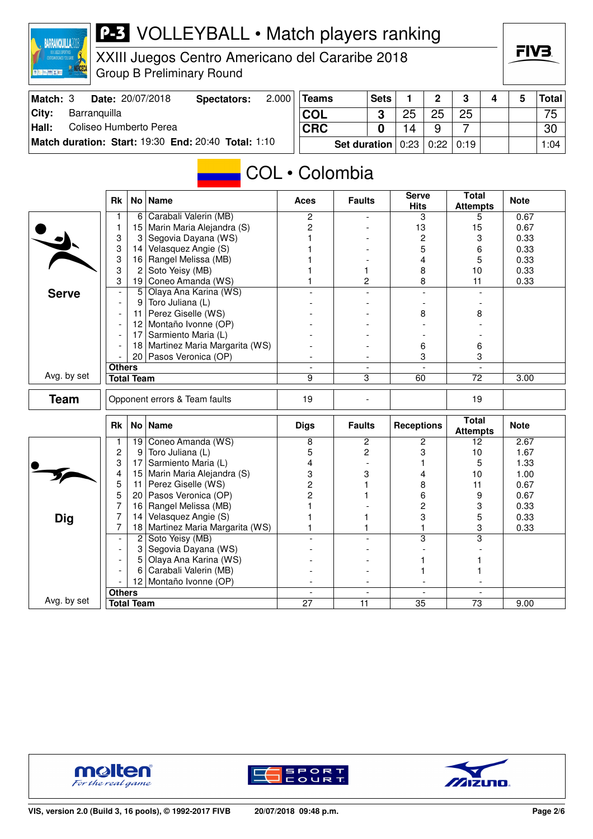

### **P-3** VOLLEYBALL • Match players ranking

XXIII Juegos Centro Americano del Cararibe 2018 Group B Preliminary Round

| Match: 3      | <b>Date: 20/07/2018</b>                             | Spectators: | 2.000 | <b>Teams</b> | <b>Sets</b>                       |    | $\mathbf{p}$ | ີ  |  | <b>Total</b> |
|---------------|-----------------------------------------------------|-------------|-------|--------------|-----------------------------------|----|--------------|----|--|--------------|
| City:         | Barranquilla                                        |             |       | <b>COL</b>   | C.                                | つら | クら           | 25 |  | 75           |
| $\vert$ Hall: | Coliseo Humberto Perea                              |             |       | <b>CRC</b>   |                                   | 14 |              |    |  | 30           |
|               | Match duration: Start: 19:30 End: 20:40 Total: 1:10 |             |       |              | Set duration   0:23   0:22   0:19 |    |              |    |  | 1:04         |

# **COL** • Colombia

|              | <b>Rk</b>                     | No <sub>1</sub> | <b>Name</b>                      | Aces                                        | <b>Faults</b>                  | <b>Serve</b><br><b>Hits</b> | <b>Total</b><br><b>Attempts</b> | <b>Note</b> |
|--------------|-------------------------------|-----------------|----------------------------------|---------------------------------------------|--------------------------------|-----------------------------|---------------------------------|-------------|
|              | 1                             | 6               | Carabali Valerin (MB)            | $\overline{c}$                              |                                | 3                           | 5                               | 0.67        |
|              | $\mathbf{1}$                  | 15              | Marin Maria Alejandra (S)        | $\overline{c}$                              |                                | 13                          | 15                              | 0.67        |
|              | 3                             | 3               | Segovia Dayana (WS)              |                                             |                                | $\overline{c}$              | 3                               | 0.33        |
|              | 3                             | 14              | Velasquez Angie (S)              |                                             |                                | 5                           | 6                               | 0.33        |
|              | 3                             | 16              | Rangel Melissa (MB)              |                                             |                                | 4                           | 5                               | 0.33        |
|              | 3                             | $\overline{2}$  | Soto Yeisy (MB)                  |                                             | 1                              | 8                           | 10                              | 0.33        |
|              | 3                             | 19              | Coneo Amanda (WS)                | 1                                           | 2                              | 8                           | 11                              | 0.33        |
| <b>Serve</b> | $\overline{\phantom{a}}$      | 5               | Olaya Ana Karina (WS)            |                                             | $\overline{a}$                 |                             |                                 |             |
|              | $\overline{\phantom{a}}$      | 9               | Toro Juliana (L)                 |                                             |                                |                             |                                 |             |
|              | $\overline{\phantom{a}}$      | 11              | Perez Giselle (WS)               |                                             |                                | 8                           | 8                               |             |
|              | $\overline{\phantom{a}}$      | 12              | Montaño Ivonne (OP)              |                                             |                                |                             |                                 |             |
|              | $\overline{\phantom{a}}$      | 17              | Sarmiento Maria (L)              |                                             |                                |                             |                                 |             |
|              |                               |                 | 18 Martinez Maria Margarita (WS) |                                             |                                | 6                           | 6                               |             |
|              | 20 Pasos Veronica (OP)        |                 |                                  |                                             | 3                              | 3                           |                                 |             |
|              | <b>Others</b>                 |                 |                                  |                                             |                                |                             |                                 |             |
| Avg. by set  | <b>Total Team</b>             |                 | 9                                | 3                                           | 60                             | $\overline{72}$             | 3.00                            |             |
| <b>Team</b>  | Opponent errors & Team faults |                 | 19                               |                                             |                                | 19                          |                                 |             |
|              | <b>Rk</b>                     | No <sub>1</sub> | <b>Name</b>                      | <b>Digs</b>                                 | <b>Faults</b>                  | <b>Receptions</b>           | <b>Total</b><br><b>Attempts</b> | <b>Note</b> |
|              | 1                             | 19              | Coneo Amanda (WS)                | 8                                           | $\overline{2}$                 | $\overline{2}$              | 12                              | 2.67        |
|              | 2                             | 9 <sup>1</sup>  | Toro Juliana (L)                 | 5                                           | $\overline{c}$                 | 3                           | 10                              | 1.67        |
|              | 3                             | 17              | Sarmiento Maria (L)              | 4                                           |                                |                             | 5                               | 1.33        |
|              | 4                             | 15              | Marin Maria Alejandra (S)        | 3                                           | 3                              | 4                           | 10                              | 1.00        |
|              | 5                             | 11              | Perez Giselle (WS)               | $\overline{2}$                              |                                | 8                           | 11                              | 0.67        |
|              | 5                             | 20              | Pasos Veronica (OP)              | 2                                           |                                | 6                           | 9                               | 0.67        |
|              | 7                             | 16              | Rangel Melissa (MB)              | 1                                           |                                | 2                           | 3                               | 0.33        |
| <b>Dig</b>   | 7                             | 14              | Velasquez Angie (S)              |                                             | 1                              | 3                           | 5                               | 0.33        |
|              | 7                             | 18              | Martinez Maria Margarita (WS)    | 1                                           |                                | $\mathbf{1}$                | 3                               | 0.33        |
|              | $\overline{\phantom{a}}$      | $\overline{2}$  | Soto Yeisy (MB)                  |                                             |                                | 3                           | $\overline{\mathbf{3}}$         |             |
|              |                               | 3               | Segovia Dayana (WS)              |                                             |                                |                             |                                 |             |
|              |                               | 5               | Olaya Ana Karina (WS)            |                                             |                                |                             |                                 |             |
|              |                               | 6               | Carabali Valerin (MB)            |                                             |                                | 1                           |                                 |             |
|              |                               | 12              | Montaño Ivonne (OP)              |                                             |                                |                             |                                 |             |
|              | <b>Others</b>                 |                 |                                  |                                             | $\overline{\phantom{a}}$       |                             |                                 |             |
| Avg. by set  | <b>Total Team</b>             |                 |                                  | $\overline{\phantom{a}}$<br>$\overline{27}$ | $\overline{\phantom{a}}$<br>11 | $\overline{35}$             | 73                              | 9.00        |





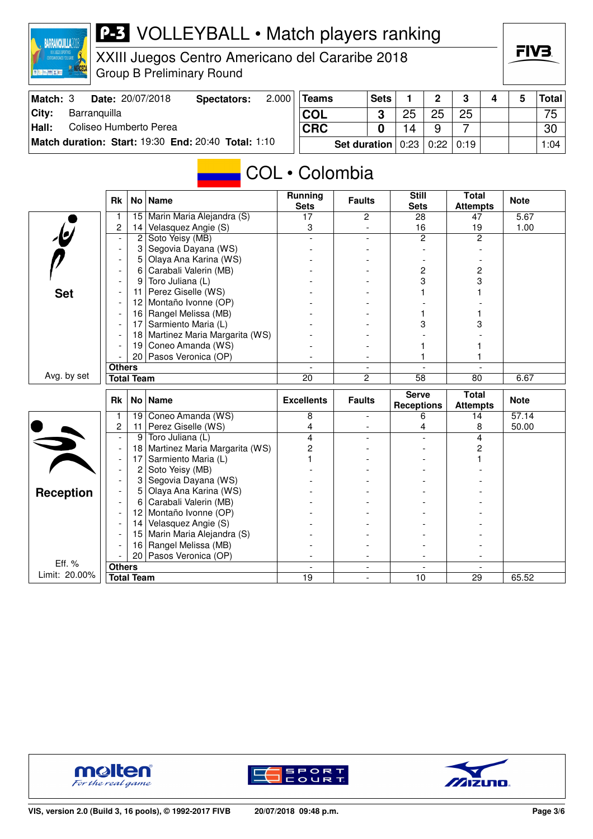

### **P-3** VOLLEYBALL • Match players ranking

XXIII Juegos Centro Americano del Cararibe 2018 Group B Preliminary Round

| Match: 3 | Date: 20/07/2018                                    | Spectators: | 2.000 | <b>Teams</b>                      | <b>Sets</b> |    | റ  | $\mathbf{r}$ |  | <b>Total</b> |
|----------|-----------------------------------------------------|-------------|-------|-----------------------------------|-------------|----|----|--------------|--|--------------|
| ∣City:   | Barranguilla                                        |             |       | <b>COL</b>                        | ≏           | 25 | 25 | 25           |  | 75 I         |
| Hall:    | Coliseo Humberto Perea                              |             |       | <b>CRC</b>                        |             |    |    |              |  | 30           |
|          | Match duration: Start: 19:30 End: 20:40 Total: 1:10 |             |       | Set duration   0:23   0:22   0:19 |             |    |    |              |  | 1:04         |

# **COL** • Colombia

|                         | <b>Rk</b>                | No l              | <b>Name</b>                   | <b>Running</b><br><b>Sets</b> | <b>Faults</b>  | <b>Still</b><br><b>Sets</b>       | <b>Total</b><br><b>Attempts</b> | <b>Note</b> |
|-------------------------|--------------------------|-------------------|-------------------------------|-------------------------------|----------------|-----------------------------------|---------------------------------|-------------|
|                         |                          | 15                | Marin Maria Alejandra (S)     | 17                            | $\overline{c}$ | 28                                | 47                              | 5.67        |
|                         | $\overline{c}$           | 14                | Velasquez Angie (S)           | 3                             |                | 16                                | 19                              | 1.00        |
| $\cdot \mathbf{e}$      |                          | 2                 | Soto Yeisy (MB)               |                               |                | $\overline{c}$                    | $\overline{c}$                  |             |
|                         | $\overline{\phantom{a}}$ | 3                 | Segovia Dayana (WS)           |                               |                |                                   |                                 |             |
|                         |                          | 5                 | Olaya Ana Karina (WS)         |                               |                |                                   |                                 |             |
|                         |                          | 6                 | Carabali Valerin (MB)         |                               |                | 2                                 | 2                               |             |
|                         |                          | 9                 | Toro Juliana (L)              |                               |                | 3                                 | 3                               |             |
| <b>Set</b>              | $\overline{\phantom{a}}$ | 11                | Perez Giselle (WS)            |                               |                |                                   |                                 |             |
|                         |                          | 12                | Montaño Ivonne (OP)           |                               |                |                                   |                                 |             |
|                         |                          | 16                | Rangel Melissa (MB)           |                               |                |                                   |                                 |             |
|                         |                          | 17                | Sarmiento Maria (L)           |                               |                | 3                                 | 3                               |             |
|                         |                          | 18                | Martinez Maria Margarita (WS) |                               |                |                                   |                                 |             |
|                         |                          | 19                | Coneo Amanda (WS)             |                               |                |                                   |                                 |             |
|                         |                          |                   | 20 Pasos Veronica (OP)        |                               |                |                                   |                                 |             |
|                         | <b>Others</b>            |                   | $\overline{a}$                | $\overline{\phantom{a}}$      |                |                                   |                                 |             |
| Avg. by set             |                          | <b>Total Team</b> |                               | 20                            | $\overline{2}$ | $\overline{58}$                   | 80                              | 6.67        |
|                         | No   Name<br><b>Rk</b>   |                   |                               |                               |                |                                   |                                 |             |
|                         |                          |                   |                               | <b>Excellents</b>             | <b>Faults</b>  | <b>Serve</b><br><b>Receptions</b> | <b>Total</b><br><b>Attempts</b> | <b>Note</b> |
|                         | 1                        | 19                | Coneo Amanda (WS)             | 8                             | ÷.             | 6                                 | 14                              | 57.14       |
|                         | 2                        | 11                | Perez Giselle (WS)            | 4                             |                | 4                                 | 8                               | 50.00       |
|                         | $\blacksquare$           | 9                 | Toro Juliana (L)              | 4                             |                |                                   | 4                               |             |
|                         | $\overline{\phantom{a}}$ | 18                | Martinez Maria Margarita (WS) | 2                             |                |                                   | 2                               |             |
|                         | $\overline{\phantom{a}}$ | 17                | Sarmiento Maria (L)           |                               |                |                                   |                                 |             |
|                         | $\blacksquare$           | 2                 | Soto Yeisy (MB)               |                               |                |                                   |                                 |             |
|                         |                          | 3                 | Segovia Dayana (WS)           |                               |                |                                   |                                 |             |
|                         |                          | 5                 | Olaya Ana Karina (WS)         |                               |                |                                   |                                 |             |
| <b>Reception</b>        | $\blacksquare$           | 6                 | Carabali Valerin (MB)         |                               |                |                                   |                                 |             |
|                         |                          | 12                | Montaño Ivonne (OP)           |                               |                |                                   |                                 |             |
|                         |                          | 14                | Velasquez Angie (S)           |                               |                |                                   |                                 |             |
|                         |                          | 15                | Marin Maria Alejandra (S)     |                               |                |                                   |                                 |             |
|                         |                          | 16                | Rangel Melissa (MB)           |                               |                |                                   |                                 |             |
|                         |                          | 20                | Pasos Veronica (OP)           |                               |                |                                   |                                 |             |
| Eff. %<br>Limit: 20.00% | <b>Others</b>            | <b>Total Team</b> |                               | 19                            |                | 10                                | 29                              | 65.52       |





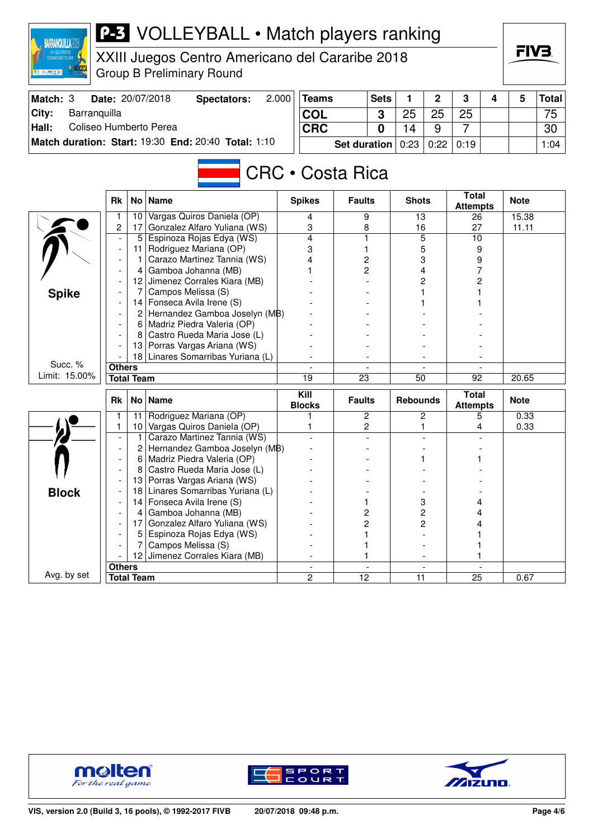| <b>BARRANQUILLA2D</b> |               |                   | <b>P-3</b> VOLLEYBALL • Match players ranking                 |            |                         |                     |             |                 |                |                       |   |             |              |
|-----------------------|---------------|-------------------|---------------------------------------------------------------|------------|-------------------------|---------------------|-------------|-----------------|----------------|-----------------------|---|-------------|--------------|
|                       |               |                   | XXIII Juegos Centro Americano del Cararibe 2018               |            |                         |                     |             |                 |                |                       |   | FIV3.       |              |
| ■ 第十二 藤 × 第二          |               |                   |                                                               |            |                         |                     |             |                 |                |                       |   |             |              |
|                       |               |                   | <b>Group B Preliminary Round</b>                              |            |                         |                     |             |                 |                |                       |   |             |              |
| Match: 3              |               |                   | Date: 20/07/2018<br><b>Spectators:</b>                        | 2.000      | <b>Teams</b>            |                     | <b>Sets</b> | 1               | 2              | 3                     | 4 | 5           | <b>Total</b> |
| City:<br>Barranquilla |               |                   |                                                               |            | <b>COL</b><br>3         |                     |             | 25              | 25             | 25                    |   |             | 75           |
| Hall:                 |               |                   | Coliseo Humberto Perea                                        | <b>CRC</b> |                         |                     | 0           | 14              | 9              | $\overline{7}$        |   |             | 30           |
|                       |               |                   | Match duration: Start: 19:30 End: 20:40 Total: 1:10           |            |                         | <b>Set duration</b> |             | 0:23            | 0:22           | 0:19                  |   |             | 1:04         |
|                       |               |                   |                                                               |            |                         |                     |             |                 |                |                       |   |             |              |
|                       |               |                   |                                                               |            |                         |                     |             |                 |                |                       |   |             |              |
|                       |               |                   |                                                               |            | <b>CRC • Costa Rica</b> |                     |             |                 |                |                       |   |             |              |
|                       | <b>Rk</b>     | No                | <b>Name</b>                                                   |            | <b>Spikes</b>           | <b>Faults</b>       |             | <b>Shots</b>    |                | <b>Total</b>          |   | <b>Note</b> |              |
|                       | 1             | 10                | Vargas Quiros Daniela (OP)                                    |            | 4                       | 9                   |             | $\overline{13}$ |                | <b>Attempts</b><br>26 |   | 15.38       |              |
|                       | 2             | 17                | Gonzalez Alfaro Yuliana (WS)                                  |            | 3                       | 8                   |             | 16              |                | 27                    |   | 11.11       |              |
|                       |               | 5                 | Espinoza Rojas Edya (WS)                                      |            | 4                       | 1                   |             |                 | 5              | 10                    |   |             |              |
|                       |               | 11                | Rodriguez Mariana (OP)                                        |            | 3                       | 1                   |             | 5               |                | 9                     |   |             |              |
|                       |               |                   | Carazo Martinez Tannia (WS)                                   |            |                         | 2                   |             |                 | 3              | 9                     |   |             |              |
|                       |               | 4                 | Gamboa Johanna (MB)                                           |            |                         | 2                   |             |                 | 4              |                       |   |             |              |
|                       |               | 12                | Jimenez Corrales Kiara (MB)                                   |            |                         |                     |             |                 | 2              | 2                     |   |             |              |
| <b>Spike</b>          |               |                   | Campos Melissa (S)                                            |            |                         |                     |             |                 |                |                       |   |             |              |
|                       |               | 14                | Fonseca Avila Irene (S)                                       |            |                         |                     |             |                 |                |                       |   |             |              |
|                       |               | $\mathbf{2}$      | Hernandez Gamboa Joselyn (MB)<br>6 Madriz Piedra Valeria (OP) |            |                         |                     |             |                 |                |                       |   |             |              |
|                       |               | 8                 | Castro Rueda Maria Jose (L)                                   |            |                         |                     |             |                 |                |                       |   |             |              |
|                       |               | 13                | Porras Vargas Ariana (WS)                                     |            |                         |                     |             |                 |                |                       |   |             |              |
|                       |               | 18                | Linares Somarribas Yuriana (L)                                |            |                         |                     |             |                 |                |                       |   |             |              |
| Succ. %               | <b>Others</b> |                   |                                                               |            |                         |                     |             |                 |                |                       |   |             |              |
| Limit: 15.00%         |               | <b>Total Team</b> |                                                               |            | 19                      | $\overline{23}$     |             | $\overline{50}$ |                | 92                    |   | 20.65       |              |
|                       |               |                   |                                                               |            | Kill                    |                     |             |                 |                | <b>Total</b>          |   |             |              |
|                       | <b>Rk</b>     | No <sub>1</sub>   | <b>Name</b>                                                   |            | <b>Blocks</b>           | <b>Faults</b>       |             | <b>Rebounds</b> |                | <b>Attempts</b>       |   | <b>Note</b> |              |
|                       | 1             | 11                | Rodriguez Mariana (OP)                                        |            |                         |                     | 2           |                 | 2              | 5                     |   | 0.33        |              |
|                       | 1             | 10 <sub>1</sub>   | Vargas Quiros Daniela (OP)                                    |            | 1                       | 2                   |             |                 | 1              | 4                     |   | 0.33        |              |
|                       |               | 1<br>2            | Carazo Martinez Tannia (WS)<br>Hernandez Gamboa Joselyn (MB)  |            |                         |                     |             |                 |                |                       |   |             |              |
|                       |               | 6                 | Madriz Piedra Valeria (OP)                                    |            |                         |                     |             | 1               |                |                       |   |             |              |
|                       |               | 8                 | Castro Rueda Maria Jose (L)                                   |            |                         |                     |             |                 |                |                       |   |             |              |
|                       |               | 13                | Porras Vargas Ariana (WS)                                     |            |                         |                     |             |                 |                |                       |   |             |              |
| <b>Block</b>          |               | 18                | Linares Somarribas Yuriana (L)                                |            |                         |                     |             |                 |                |                       |   |             |              |
|                       |               | 14                | Fonseca Avila Irene (S)                                       |            |                         | 1                   |             |                 | 3              | 4                     |   |             |              |
|                       |               | 4                 | Gamboa Johanna (MB)                                           |            |                         | 2                   |             |                 | $\overline{c}$ | 4                     |   |             |              |
|                       |               | 17                | Gonzalez Alfaro Yuliana (WS)                                  |            |                         | $\overline{c}$      |             |                 | $\overline{c}$ | 4                     |   |             |              |
|                       |               | 5                 | Espinoza Rojas Edya (WS)                                      |            |                         |                     |             |                 |                |                       |   |             |              |
|                       |               |                   | Campos Melissa (S)                                            |            |                         |                     |             |                 |                |                       |   |             |              |
|                       | <b>Others</b> | 12                | Jimenez Corrales Kiara (MB)                                   |            |                         | 1                   |             |                 |                |                       |   |             |              |
| Avg. by set           |               | <b>Total Team</b> |                                                               |            | 2                       | 12                  |             | 11              |                | 25                    |   | 0.67        |              |
|                       |               |                   |                                                               |            |                         |                     |             |                 |                |                       |   |             |              |





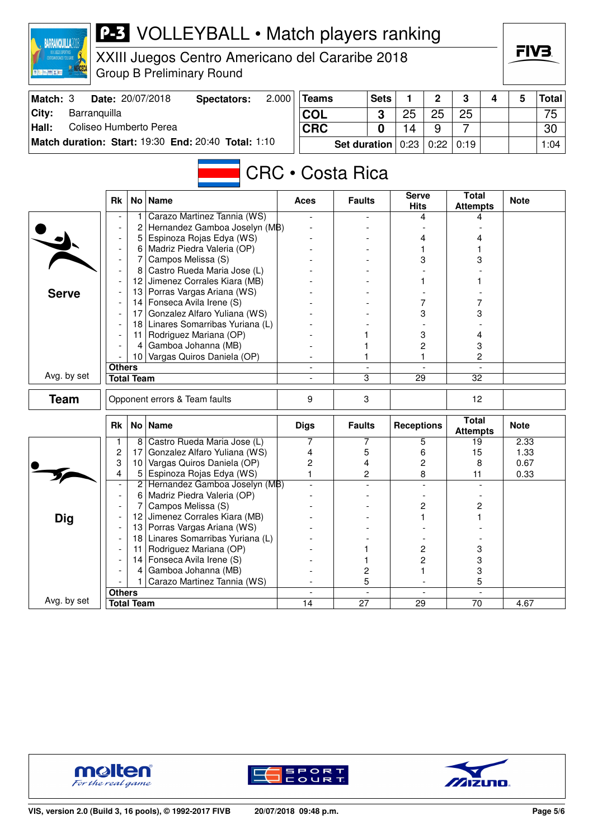| <b>BARRANQUILLA2</b>            |                          | <b>P-3</b> VOLLEYBALL • Match players ranking |                                                           |            |                          |                     |                |                          |                |                                 |   |             |              |
|---------------------------------|--------------------------|-----------------------------------------------|-----------------------------------------------------------|------------|--------------------------|---------------------|----------------|--------------------------|----------------|---------------------------------|---|-------------|--------------|
|                                 |                          |                                               | XXIII Juegos Centro Americano del Cararibe 2018           |            |                          |                     |                |                          |                |                                 |   | FIV3.       |              |
|                                 |                          |                                               | <b>Group B Preliminary Round</b>                          |            |                          |                     |                |                          |                |                                 |   |             |              |
| Match: 3                        |                          |                                               | Date: 20/07/2018<br><b>Spectators:</b>                    | 2.000      | <b>Teams</b>             |                     | <b>Sets</b>    | 1                        | 2              | 3                               | 4 | 5           | <b>Total</b> |
| Barranquilla<br>City:           |                          |                                               |                                                           |            | <b>COL</b>               |                     | 3              | 25                       | 25             | 25                              |   |             | 75           |
| Coliseo Humberto Perea<br>Hall: |                          |                                               |                                                           | <b>CRC</b> |                          |                     | $\bf{0}$       | 14                       | 9              | $\overline{7}$                  |   |             | 30           |
|                                 |                          |                                               | Match duration: Start: 19:30 End: 20:40 Total: 1:10       |            |                          | <b>Set duration</b> |                | 0:23                     | 0:22           | 0:19                            |   |             | 1:04         |
|                                 |                          |                                               |                                                           |            | <b>CRC · Costa Rica</b>  |                     |                |                          |                |                                 |   |             |              |
|                                 | <b>Rk</b>                |                                               | No   Name                                                 |            | Aces                     | <b>Faults</b>       |                | <b>Serve</b>             |                | <b>Total</b>                    |   | <b>Note</b> |              |
|                                 |                          |                                               |                                                           |            |                          |                     |                | <b>Hits</b>              |                | <b>Attempts</b>                 |   |             |              |
|                                 |                          |                                               | Carazo Martinez Tannia (WS)                               |            |                          |                     |                |                          | 4              | 4                               |   |             |              |
|                                 |                          | 2<br>5                                        | Hernandez Gamboa Joselyn (MB)<br>Espinoza Rojas Edya (WS) |            |                          |                     |                |                          |                |                                 |   |             |              |
|                                 |                          | 6                                             | Madriz Piedra Valeria (OP)                                |            |                          |                     |                | 4                        |                | 4                               |   |             |              |
|                                 |                          | 7                                             | Campos Melissa (S)                                        |            |                          |                     |                | 3                        |                | 3                               |   |             |              |
|                                 |                          | 8                                             | Castro Rueda Maria Jose (L)                               |            |                          |                     |                |                          |                |                                 |   |             |              |
|                                 |                          |                                               | 12 Jimenez Corrales Kiara (MB)                            |            |                          |                     |                |                          |                |                                 |   |             |              |
| <b>Serve</b>                    |                          |                                               | 13 Porras Vargas Ariana (WS)                              |            |                          |                     |                |                          |                |                                 |   |             |              |
|                                 |                          |                                               | 14   Fonseca Avila Irene (S)                              |            |                          |                     |                |                          | 7              |                                 |   |             |              |
|                                 |                          | 17                                            | Gonzalez Alfaro Yuliana (WS)                              |            |                          |                     |                |                          | 3              | 3                               |   |             |              |
|                                 |                          | 18 Linares Somarribas Yuriana (L)             |                                                           |            |                          |                     |                |                          |                |                                 |   |             |              |
|                                 |                          | 11                                            | Rodriguez Mariana (OP)                                    |            |                          |                     |                | 3                        |                | 4                               |   |             |              |
|                                 | 4                        |                                               | Gamboa Johanna (MB)                                       |            |                          |                     |                |                          | 2              | 3                               |   |             |              |
|                                 |                          | 10 <sub>1</sub>                               | Vargas Quiros Daniela (OP)                                |            |                          |                     | 1              |                          | 1              | 2                               |   |             |              |
| Avg. by set                     | <b>Others</b>            | <b>Total Team</b>                             |                                                           |            |                          | 3                   |                | 29                       |                | $\overline{32}$                 |   |             |              |
|                                 |                          |                                               |                                                           |            |                          |                     |                |                          |                |                                 |   |             |              |
| <b>Team</b>                     |                          |                                               | Opponent errors & Team faults                             |            | 9                        | 3                   |                |                          | 12             |                                 |   |             |              |
|                                 | <b>Rk</b>                |                                               | No   Name                                                 |            | <b>Digs</b>              | <b>Faults</b>       |                | <b>Receptions</b>        |                | <b>Total</b><br><b>Attempts</b> |   | <b>Note</b> |              |
|                                 |                          | 8                                             | Castro Rueda Maria Jose (L)                               |            | 7                        | 7                   |                | 5                        |                | 19                              |   | 2.33        |              |
|                                 | 2                        | 17                                            | Gonzalez Alfaro Yuliana (WS)                              |            | 4                        | 5                   |                | 6                        |                | 15                              |   | 1.33        |              |
|                                 | 3                        | 10 <sub>1</sub>                               | Vargas Quiros Daniela (OP)                                |            | $\overline{c}$           | 4                   |                | $\overline{c}$           |                | 8                               |   | 0.67        |              |
|                                 | 4                        | 5.<br>2                                       | Espinoza Rojas Edya (WS)<br>Hernandez Gamboa Joselyn (MB) |            | $\mathbf{1}$             |                     | 2              |                          | 8              | 11                              |   | 0.33        |              |
|                                 | $\overline{\phantom{a}}$ | 6                                             | Madriz Piedra Valeria (OP)                                |            |                          |                     |                |                          |                |                                 |   |             |              |
|                                 |                          | 7                                             | Campos Melissa (S)                                        |            |                          |                     |                | $\overline{\mathbf{c}}$  |                | $\overline{\mathbf{c}}$         |   |             |              |
| <b>Dig</b>                      |                          | 12 <sub>2</sub>                               | Jimenez Corrales Kiara (MB)                               |            |                          |                     |                |                          | 1              | 1                               |   |             |              |
|                                 |                          | 13                                            | Porras Vargas Ariana (WS)                                 |            |                          |                     |                |                          |                |                                 |   |             |              |
|                                 |                          | 18                                            | Linares Somarribas Yuriana (L)                            |            |                          |                     |                |                          |                |                                 |   |             |              |
|                                 |                          | 11                                            | Rodriguez Mariana (OP)                                    |            |                          | 1                   |                |                          | 2              | 3                               |   |             |              |
|                                 |                          | 14 I                                          | Fonseca Avila Irene (S)                                   |            |                          | 1                   |                |                          | $\overline{c}$ | 3                               |   |             |              |
|                                 |                          | 4                                             | Gamboa Johanna (MB)                                       |            |                          | 2                   |                |                          | 1              | $\ensuremath{\mathsf{3}}$       |   |             |              |
|                                 |                          |                                               | Carazo Martinez Tannia (WS)                               |            |                          | 5                   |                |                          |                | 5                               |   |             |              |
| Avg. by set                     | Others                   |                                               |                                                           |            | $\overline{\phantom{a}}$ |                     | $\blacksquare$ | $\overline{\phantom{a}}$ |                |                                 |   |             |              |
|                                 |                          | <b>Total Team</b>                             |                                                           |            | 14                       | $\overline{27}$     |                | $\overline{29}$          |                | $\overline{70}$                 |   | 4.67        |              |